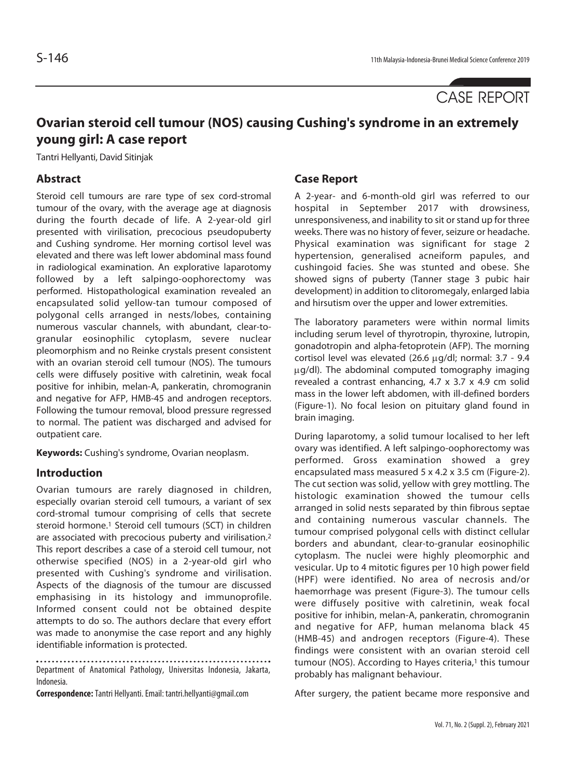# CASE REPORT

# **Ovarian steroid cell tumour (NOS) causing Cushing's syndrome in an extremely young girl: A case report**

Tantri Hellyanti, David Sitinjak

# **Abstract**

Steroid cell tumours are rare type of sex cord-stromal tumour of the ovary, with the average age at diagnosis during the fourth decade of life. A 2-year-old girl presented with virilisation, precocious pseudopuberty and Cushing syndrome. Her morning cortisol level was elevated and there was left lower abdominal mass found in radiological examination. An explorative laparotomy followed by a left salpingo-oophorectomy was performed. Histopathological examination revealed an encapsulated solid yellow-tan tumour composed of polygonal cells arranged in nests/lobes, containing numerous vascular channels, with abundant, clear-togranular eosinophilic cytoplasm, severe nuclear pleomorphism and no Reinke crystals present consistent with an ovarian steroid cell tumour (NOS). The tumours cells were diffusely positive with calretinin, weak focal positive for inhibin, melan-A, pankeratin, chromogranin and negative for AFP, HMB-45 and androgen receptors. Following the tumour removal, blood pressure regressed to normal. The patient was discharged and advised for outpatient care.

**Keywords:** Cushing's syndrome, Ovarian neoplasm.

# **Introduction**

Ovarian tumours are rarely diagnosed in children, especially ovarian steroid cell tumours, a variant of sex cord-stromal tumour comprising of cells that secrete steroid hormone.<sup>1</sup> Steroid cell tumours (SCT) in children are associated with precocious puberty and virilisation.2 This report describes a case of a steroid cell tumour, not otherwise specified (NOS) in a 2-year-old girl who presented with Cushing's syndrome and virilisation. Aspects of the diagnosis of the tumour are discussed emphasising in its histology and immunoprofile. Informed consent could not be obtained despite attempts to do so. The authors declare that every effort was made to anonymise the case report and any highly identifiable information is protected.

Department of Anatomical Pathology, Universitas Indonesia, Jakarta, Indonesia.

**Correspondence:** Tantri Hellyanti. Email: tantri.hellyanti@gmail.com

# **Case Report**

A 2-year- and 6-month-old girl was referred to our hospital in September 2017 with drowsiness, unresponsiveness, and inability to sit or stand up for three weeks. There was no history of fever, seizure or headache. Physical examination was significant for stage 2 hypertension, generalised acneiform papules, and cushingoid facies. She was stunted and obese. She showed signs of puberty (Tanner stage 3 pubic hair development) in addition to clitoromegaly, enlarged labia and hirsutism over the upper and lower extremities.

The laboratory parameters were within normal limits including serum level of thyrotropin, thyroxine, lutropin, gonadotropin and alpha-fetoprotein (AFP). The morning cortisol level was elevated (26.6 μg/dl; normal: 3.7 - 9.4 μg/dl). The abdominal computed tomography imaging revealed a contrast enhancing, 4.7 x 3.7 x 4.9 cm solid mass in the lower left abdomen, with ill-defined borders (Figure-1). No focal lesion on pituitary gland found in brain imaging.

During laparotomy, a solid tumour localised to her left ovary was identified. A left salpingo-oophorectomy was performed. Gross examination showed a grey encapsulated mass measured 5 x 4.2 x 3.5 cm (Figure-2). The cut section was solid, yellow with grey mottling. The histologic examination showed the tumour cells arranged in solid nests separated by thin fibrous septae and containing numerous vascular channels. The tumour comprised polygonal cells with distinct cellular borders and abundant, clear-to-granular eosinophilic cytoplasm. The nuclei were highly pleomorphic and vesicular. Up to 4 mitotic figures per 10 high power field (HPF) were identified. No area of necrosis and/or haemorrhage was present (Figure-3). The tumour cells were diffusely positive with calretinin, weak focal positive for inhibin, melan-A, pankeratin, chromogranin and negative for AFP, human melanoma black 45 (HMB-45) and androgen receptors (Figure-4). These findings were consistent with an ovarian steroid cell tumour (NOS). According to Hayes criteria,<sup>1</sup> this tumour probably has malignant behaviour.

After surgery, the patient became more responsive and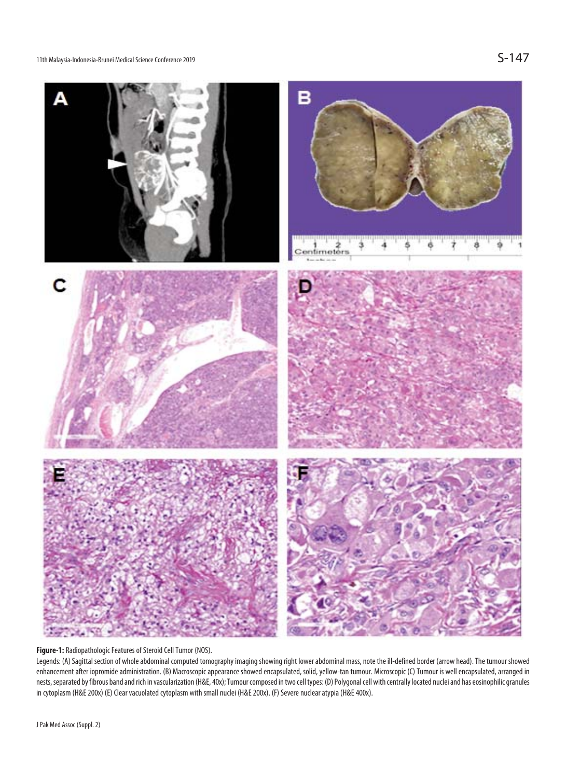11th Malaysia-Indonesia-Brunei Medical Science Conference 2019



### **Figure-1:** Radiopathologic Features of Steroid Cell Tumor (NOS).

Legends: (A) Sagittal section of whole abdominal computed tomography imaging showing right lower abdominal mass, note the ill-defined border (arrow head). The tumour showed enhancement after iopromide administration. (B) Macroscopic appearance showed encapsulated, solid, yellow-tan tumour. Microscopic (C) Tumour is well encapsulated, arranged in nests, separated by fibrous band and rich in vascularization (H&E, 40x); Tumour composed in two cell types: (D) Polygonal cell with centrally located nuclei and has eosinophilic granules in cytoplasm (H&E 200x) (E) Clear vacuolated cytoplasm with small nuclei (H&E 200x). (F) Severe nuclear atypia (H&E 400x).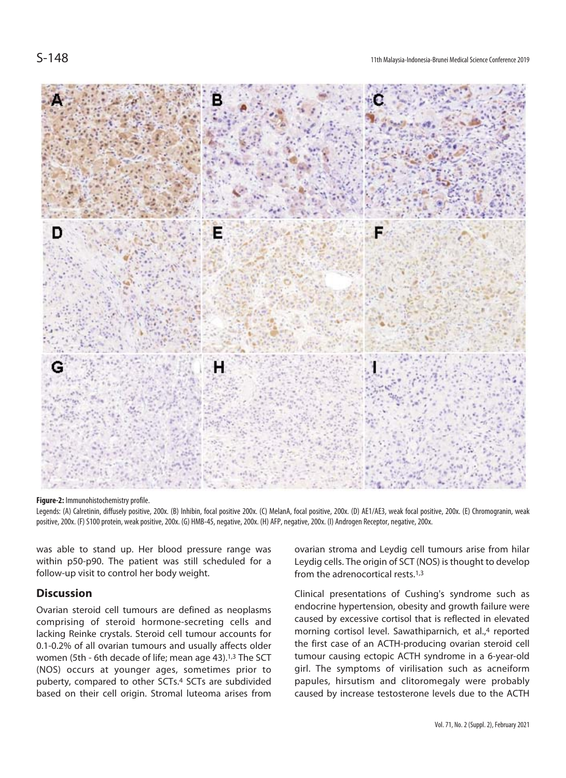

#### **Figure-2:** Immunohistochemistry profile.

Legends: (A) Calretinin, diffusely positive, 200x. (B) Inhibin, focal positive 200x. (C) MelanA, focal positive, 200x. (D) AE1/AE3, weak focal positive, 200x. (E) Chromogranin, weak positive, 200x. (F) S100 protein, weak positive, 200x. (G) HMB-45, negative, 200x. (H) AFP, negative, 200x. (I) Androgen Receptor, negative, 200x.

was able to stand up. Her blood pressure range was within p50-p90. The patient was still scheduled for a follow-up visit to control her body weight.

## **Discussion**

Ovarian steroid cell tumours are defined as neoplasms comprising of steroid hormone-secreting cells and lacking Reinke crystals. Steroid cell tumour accounts for 0.1-0.2% of all ovarian tumours and usually affects older women (5th - 6th decade of life; mean age 43).<sup>1,3</sup> The SCT (NOS) occurs at younger ages, sometimes prior to puberty, compared to other SCTs.4 SCTs are subdivided based on their cell origin. Stromal luteoma arises from ovarian stroma and Leydig cell tumours arise from hilar Leydig cells. The origin of SCT (NOS) is thought to develop from the adrenocortical rests.1,3

Clinical presentations of Cushing's syndrome such as endocrine hypertension, obesity and growth failure were caused by excessive cortisol that is reflected in elevated morning cortisol level. Sawathiparnich, et al.,<sup>4</sup> reported the first case of an ACTH-producing ovarian steroid cell tumour causing ectopic ACTH syndrome in a 6-year-old girl. The symptoms of virilisation such as acneiform papules, hirsutism and clitoromegaly were probably caused by increase testosterone levels due to the ACTH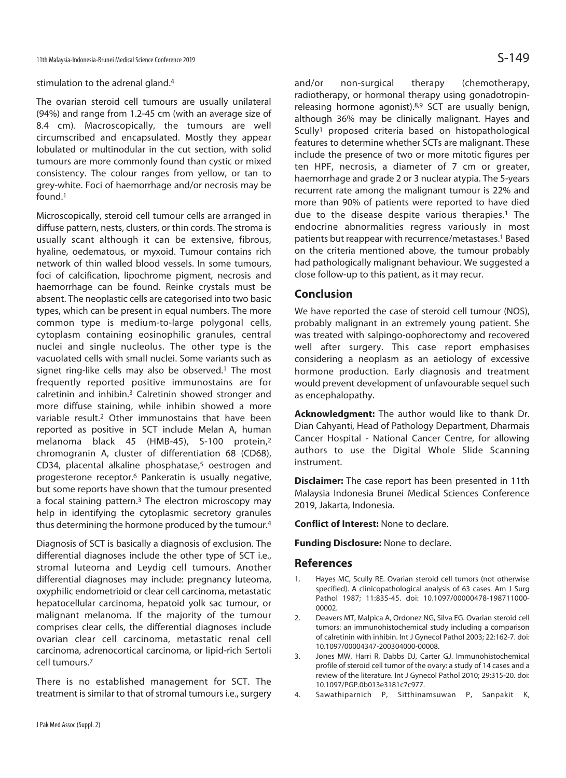### stimulation to the adrenal gland.4

The ovarian steroid cell tumours are usually unilateral (94%) and range from 1.2-45 cm (with an average size of 8.4 cm). Macroscopically, the tumours are well circumscribed and encapsulated. Mostly they appear lobulated or multinodular in the cut section, with solid tumours are more commonly found than cystic or mixed consistency. The colour ranges from yellow, or tan to grey-white. Foci of haemorrhage and/or necrosis may be found.1

Microscopically, steroid cell tumour cells are arranged in diffuse pattern, nests, clusters, or thin cords. The stroma is usually scant although it can be extensive, fibrous, hyaline, oedematous, or myxoid. Tumour contains rich network of thin walled blood vessels. In some tumours, foci of calcification, lipochrome pigment, necrosis and haemorrhage can be found. Reinke crystals must be absent. The neoplastic cells are categorised into two basic types, which can be present in equal numbers. The more common type is medium-to-large polygonal cells, cytoplasm containing eosinophilic granules, central nuclei and single nucleolus. The other type is the vacuolated cells with small nuclei. Some variants such as signet ring-like cells may also be observed.<sup>1</sup> The most frequently reported positive immunostains are for calretinin and inhibin.3 Calretinin showed stronger and more diffuse staining, while inhibin showed a more variable result.2 Other immunostains that have been reported as positive in SCT include Melan A, human melanoma black 45 (HMB-45), S-100 protein,2 chromogranin A, cluster of differentiation 68 (CD68), CD34, placental alkaline phosphatase,<sup>5</sup> oestrogen and progesterone receptor.6 Pankeratin is usually negative, but some reports have shown that the tumour presented a focal staining pattern.<sup>3</sup> The electron microscopy may help in identifying the cytoplasmic secretory granules thus determining the hormone produced by the tumour.4

Diagnosis of SCT is basically a diagnosis of exclusion. The differential diagnoses include the other type of SCT i.e., stromal luteoma and Leydig cell tumours. Another differential diagnoses may include: pregnancy luteoma, oxyphilic endometrioid or clear cell carcinoma, metastatic hepatocellular carcinoma, hepatoid yolk sac tumour, or malignant melanoma. If the majority of the tumour comprises clear cells, the differential diagnoses include ovarian clear cell carcinoma, metastatic renal cell carcinoma, adrenocortical carcinoma, or lipid-rich Sertoli cell tumours.7

There is no established management for SCT. The treatment is similar to that of stromal tumours i.e., surgery and/or non-surgical therapy (chemotherapy, radiotherapy, or hormonal therapy using gonadotropinreleasing hormone agonist).8,9 SCT are usually benign, although 36% may be clinically malignant. Hayes and Scully1 proposed criteria based on histopathological features to determine whether SCTs are malignant. These include the presence of two or more mitotic figures per ten HPF, necrosis, a diameter of 7 cm or greater, haemorrhage and grade 2 or 3 nuclear atypia. The 5-years recurrent rate among the malignant tumour is 22% and more than 90% of patients were reported to have died due to the disease despite various therapies.<sup>1</sup> The endocrine abnormalities regress variously in most patients but reappear with recurrence/metastases.1 Based on the criteria mentioned above, the tumour probably had pathologically malignant behaviour. We suggested a close follow-up to this patient, as it may recur.

# **Conclusion**

We have reported the case of steroid cell tumour (NOS), probably malignant in an extremely young patient. She was treated with salpingo-oophorectomy and recovered well after surgery. This case report emphasises considering a neoplasm as an aetiology of excessive hormone production. Early diagnosis and treatment would prevent development of unfavourable sequel such as encephalopathy.

**Acknowledgment:** The author would like to thank Dr. Dian Cahyanti, Head of Pathology Department, Dharmais Cancer Hospital - National Cancer Centre, for allowing authors to use the Digital Whole Slide Scanning instrument.

**Disclaimer:** The case report has been presented in 11th Malaysia Indonesia Brunei Medical Sciences Conference 2019, Jakarta, Indonesia.

**Conflict of Interest:** None to declare.

**Funding Disclosure:** None to declare.

## **References**

- 1. Hayes MC, Scully RE. Ovarian steroid cell tumors (not otherwise specified). A clinicopathological analysis of 63 cases. Am J Surg Pathol 1987; 11:835-45. doi: 10.1097/00000478-198711000- 00002.
- 2. Deavers MT, Malpica A, Ordonez NG, Silva EG. Ovarian steroid cell tumors: an immunohistochemical study including a comparison of calretinin with inhibin. Int J Gynecol Pathol 2003; 22:162-7. doi: 10.1097/00004347-200304000-00008.
- 3. Jones MW, Harri R, Dabbs DJ, Carter GJ. Immunohistochemical profile of steroid cell tumor of the ovary: a study of 14 cases and a review of the literature. Int J Gynecol Pathol 2010; 29:315-20. doi: 10.1097/PGP.0b013e3181c7c977.
- 4. Sawathiparnich P, Sitthinamsuwan P, Sanpakit K,